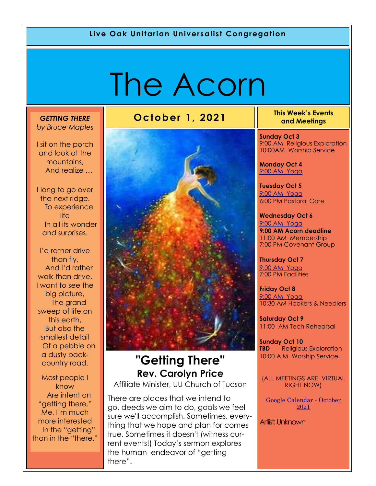#### **Live Oak Unitarian Universalist Congregation**

# The Acorn

#### *GETTING THERE by Bruce Maples*

I sit on the porch and look at the mountains, And realize …

I long to go over the next ridge. To experience life In all its wonder and surprises.

I'd rather drive than fly, And I'd rather walk than drive. I want to see the big picture, The grand sweep of life on this earth, But also the smallest detail Of a pebble on a dusty backcountry road.

Most people I know Are intent on "getting there." Me, I'm much more interested In the "getting" than in the "there."

# **October 1, 2021 This Week's Events**



# **"Getting There" Rev. Carolyn Price**

Affiliate Minister, UU Church of Tucson

There are places that we intend to go, deeds we aim to do, goals we feel sure we'll accomplish. Sometimes, everything that we hope and plan for comes true. Sometimes it doesn't (witness current events!) Today's sermon explores the human endeavor of "getting there".

**and Meetings** 

**Sunday Oct 3** 9:00 AM Religious Exploration 10:00AM Worship Service

**Monday Oct 4** [9:00 AM Yoga](https://us02web.zoom.us/j/86278199291?pwd=WUh1MFJyVXNVOTIyQ1NmanJoSmNXQT09)

**Tuesday Oct 5** [9:](https://us02web.zoom.us/meeting/register/tZ0pc-6qrTwqH9WUfmrB_nZu0MWqJ8CyS3Uw)[00 AM Yoga](https://us02web.zoom.us/j/86278199291?pwd=WUh1MFJyVXNVOTIyQ1NmanJoSmNXQT09)  6:00 PM Pastoral Care

**Wednesday Oct 6** [9:](https://us02web.zoom.us/meeting/register/tZ0pc-6qrTwqH9WUfmrB_nZu0MWqJ8CyS3Uw)[00 AM Yoga](https://us02web.zoom.us/j/86278199291?pwd=WUh1MFJyVXNVOTIyQ1NmanJoSmNXQT09) **9:00 AM Acorn deadline** 11:00 AM Membership 7:00 PM Covenant Group

**Thursday Oct 7** [9:](https://us02web.zoom.us/meeting/register/tZ0pc-6qrTwqH9WUfmrB_nZu0MWqJ8CyS3Uw)[00 AM Yoga](https://us02web.zoom.us/j/86278199291?pwd=WUh1MFJyVXNVOTIyQ1NmanJoSmNXQT09) 7:00 PM Facilities

**Friday Oct 8** [9:](https://us02web.zoom.us/meeting/register/tZ0pc-6qrTwqH9WUfmrB_nZu0MWqJ8CyS3Uw)[00 AM Yoga](https://us02web.zoom.us/j/86278199291?pwd=WUh1MFJyVXNVOTIyQ1NmanJoSmNXQT09) 10:30 AM Hookers & Needlers

**Saturday Oct 9** 11:00 AM Tech Rehearsal

**Sunday Oct 10 TBD** Religious Exploration 10:00 A.M Worship Service

(ALL MEETINGS ARE VIRTUAL RIGHT NOW)

[Google Calendar -](https://calendar.google.com/calendar/u/1/r/month/2021/10/1) October [2021](https://calendar.google.com/calendar/u/1/r/month/2021/10/1)

Artiist: Unknown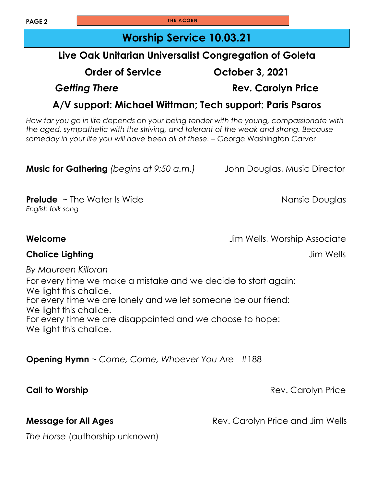**PAGE 2 THE ACORN** 

# **Worship Service 10.03.21**

### **Live Oak Unitarian Universalist Congregation of Goleta**

**Order of Service October 3, 2021**

*Getting There* **Rev. Carolyn Price**

### **A/V support: Michael Wittman; Tech support: Paris Psaros**

*How far you go in life depends on your being tender with the young, compassionate with the aged, sympathetic with the striving, and tolerant of the weak and strong. Because someday in your life you will have been all of these.* – George Washington Carver

| <b>Music for Gathering</b> (begins at 9:50 a.m.) |  | John Douglas, Music Director |
|--------------------------------------------------|--|------------------------------|
|--------------------------------------------------|--|------------------------------|

**Prelude** ~ The Water Is Wide Nansie Douglas *English folk song*

**Welcome** Jim Wells, Worship Associate

#### **Chalice Lighting and School Chalice Lighting and School Chalice Lighting and School Chalice Lighting and School Chalice Associates and School Chalice Associates and School Chalice Associates and School Chalice Associates**

*By Maureen Killoran*

For every time we make a mistake and we decide to start again: We light this chalice. For every time we are lonely and we let someone be our friend: We light this chalice. For every time we are disappointed and we choose to hope: We light this chalice.

**Opening Hymn** ~ *Come, Come, Whoever You Are* #188

**Call to Worship Call to Worship 2008** 

**Message for All Ages Rev. Carolyn Price and Jim Wells** 

*The Horse* (authorship unknown)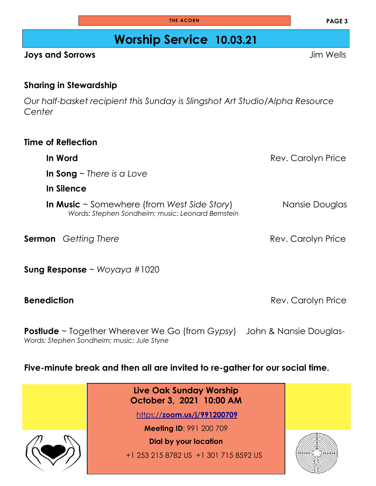# **Worship Service 10.03.21**

#### **Joys and Sorrows** Jim Wells

#### **Sharing in Stewardship**

*Our half-basket recipient this Sunday is Slingshot Art Studio/Alpha Resource Center*

**In Word Carolyn Price Rev. Carolyn Price In Song** ~ *There is a Love* **In Silence In Music** ~ Somewhere (from West Side Story) Nansie Douglas *Words: Stephen Sondheim; music: Leonard Bernstein*

**Sung Response** ~ *Woyaya* #1020

**Postlude** ~ Together Wherever We Go (from *Gypsy*) John & Nansie Douglas-*Words: Stephen Sondheim; music: Jule Styne*

#### **Five-minute break and then all are invited to re-gather for our social time.**

**Live Oak Sunday Worship October 3, 2021 10:00 AM** https://**[zoom.us/j/991200709](https://zoom.us/j/991200709) Meeting ID**: 991 200 709 **Dial by your location**  +1 253 215 8782 US +1 301 715 8592 US

**PAGE 3**

**Sermon** Getting There *Rev. Carolyn Price* **Rev. Carolyn Price** 

**Benediction Benediction Rev. Carolyn Price**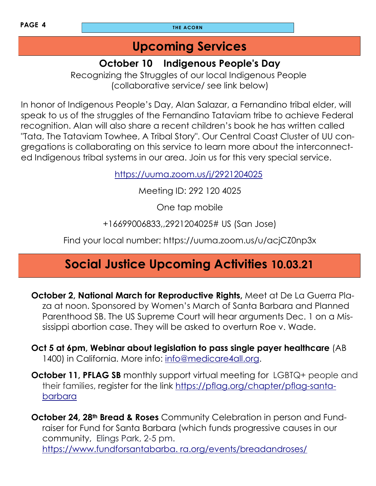# **Upcoming Services**

## **October 10 Indigenous People's Day**

Recognizing the Struggles of our local Indigenous People (collaborative service/ see link below)

In honor of Indigenous People's Day, Alan Salazar, a Fernandino tribal elder, will speak to us of the struggles of the Fernandino Tataviam tribe to achieve Federal recognition. Alan will also share a recent children's book he has written called "Tata, The Tataviam Towhee, A Tribal Story". Our Central Coast Cluster of UU congregations is collaborating on this service to learn more about the interconnected Indigenous tribal systems in our area. Join us for this very special service.

<https://uuma.zoom.us/j/2921204025>

Meeting ID: 292 120 4025

One tap mobile

+16699006833,,2921204025# US (San Jose)

Find your local number: https://uuma.zoom.us/u/acjCZ0np3x

# **Social Justice Upcoming Activities 10.03.21**

- **October 2, National March for Reproductive Rights,** Meet at De La Guerra Plaza at noon. Sponsored by Women's March of Santa Barbara and Planned Parenthood SB. The US Supreme Court will hear arguments Dec. 1 on a Mississippi abortion case. They will be asked to overturn Roe v. Wade.
- **Oct 5 at 6pm, Webinar about legislation to pass single payer healthcare** (AB 1400) in California. More info: [info@medicare4all.org.](mailto:info@medicare4all.org)
- **October 11, PFLAG SB** monthly support virtual meeting for LGBTQ+ people and their families, register for the link [https://pflag.org/chapter/pflag-santa](https://pflag.org/chapter/pflag-santa-barbara)[barbara](https://pflag.org/chapter/pflag-santa-barbara)

**October 24, 28th Bread & Roses** Community Celebration in person and Fundraiser for Fund for Santa Barbara (which funds progressive causes in our community, Elings Park, 2-5 pm. [https://www.fundforsantabarba. ra.org/events/breadandroses/](https://www.fundforsantabarba.ra.org/events/breadandroses/)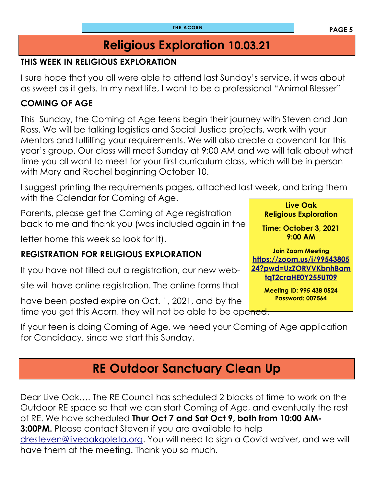# **Religious Exploration 10.03.21**

### **THIS WEEK IN RELIGIOUS EXPLORATION**

I sure hope that you all were able to attend last Sunday's service, it was about as sweet as it gets. In my next life, I want to be a professional "Animal Blesser"

#### **COMING OF AGE**

This Sunday, the Coming of Age teens begin their journey with Steven and Jan Ross. We will be talking logistics and Social Justice projects, work with your Mentors and fulfilling your requirements. We will also create a covenant for this year's group. Our class will meet Sunday at 9:00 AM and we will talk about what time you all want to meet for your first curriculum class, which will be in person with Mary and Rachel beginning October 10.

**Live Oak**  I suggest printing the requirements pages, attached last week, and bring them with the Calendar for Coming of Age.

Parents, please get the Coming of Age registration back to me and thank you (was included again in the

letter home this week so look for it).

#### **REGISTRATION FOR RELIGIOUS EXPLORATION**

If you have not filled out a registration, our new web-

site will have online registration. The online forms that

have been posted expire on Oct. 1, 2021, and by the time you get this Acorn, they will not be able to be opened.

If your teen is doing Coming of Age, we need your Coming of Age application for Candidacy, since we start this Sunday.

# **RE Outdoor Sanctuary Clean Up**

Dear Live Oak…. The RE Council has scheduled 2 blocks of time to work on the Outdoor RE space so that we can start Coming of Age, and eventually the rest of RE. We have scheduled **Thur Oct 7 and Sat Oct 9, both from 10:00 AM-3:00PM.** Please contact Steven if you are available to help [dresteven@liveoakgoleta.org.](mailto:dresteven@liveoakgoleta.org) You will need to sign a Covid waiver, and we will have them at the meeting. Thank you so much.

**9:00 AM Join Zoom Meeting [https://zoom.us/j/99543805](https://zoom.us/j/9954380524?pwd=UzZORVVKbnhBamtqT2craHE0Y255UT09) [24?pwd=UzZORVVKbnhBam](https://zoom.us/j/9954380524?pwd=UzZORVVKbnhBamtqT2craHE0Y255UT09) [tqT2craHE0Y255UT09](https://zoom.us/j/9954380524?pwd=UzZORVVKbnhBamtqT2craHE0Y255UT09)**

**Religious Exploration** 

**Time: October 3, 2021** 

**Meeting ID: 995 438 0524 Password: 007564**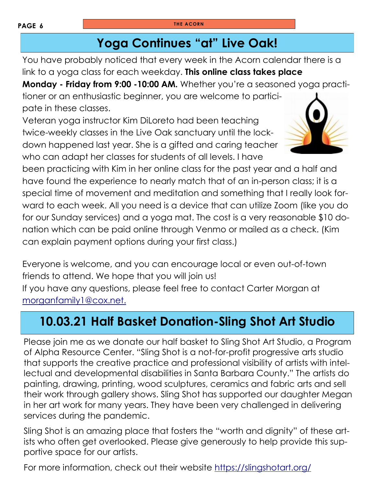# **Yoga Continues "at" Live Oak!**

You have probably noticed that every week in the Acorn calendar there is a link to a yoga class for each weekday. **This online class takes place** 

**Monday - Friday from 9:00 -10:00 AM.** Whether you're a seasoned yoga practi-

tioner or an enthusiastic beginner, you are welcome to participate in these classes.

Veteran yoga instructor Kim DiLoreto had been teaching twice-weekly classes in the Live Oak sanctuary until the lockdown happened last year. She is a gifted and caring teacher who can adapt her classes for students of all levels. I have

been practicing with Kim in her online class for the past year and a half and have found the experience to nearly match that of an in-person class; it is a special time of movement and meditation and something that I really look forward to each week. All you need is a device that can utilize Zoom (like you do for our Sunday services) and a yoga mat. The cost is a very reasonable \$10 donation which can be paid online through Venmo or mailed as a check. (Kim can explain payment options during your first class.)

Everyone is welcome, and you can encourage local or even out-of-town friends to attend. We hope that you will join us! If you have any questions, please feel free to contact Carter Morgan at [morganfamily1@cox.net.](mailto:morganfamily1@cox.net)

# **10.03.21 Half Basket Donation-Sling Shot Art Studio**

Please join me as we donate our half basket to Sling Shot Art Studio, a Program of Alpha Resource Center. "Sling Shot is a not-for-profit progressive arts studio that supports the creative practice and professional visibility of artists with intellectual and developmental disabilities in Santa Barbara County." The artists do painting, drawing, printing, wood sculptures, ceramics and fabric arts and sell their work through gallery shows. Sling Shot has supported our daughter Megan in her art work for many years. They have been very challenged in delivering services during the pandemic.

Sling Shot is an amazing place that fosters the "worth and dignity" of these artists who often get overlooked. Please give generously to help provide this supportive space for our artists.

For more information, check out their website <https://slingshotart.org/>

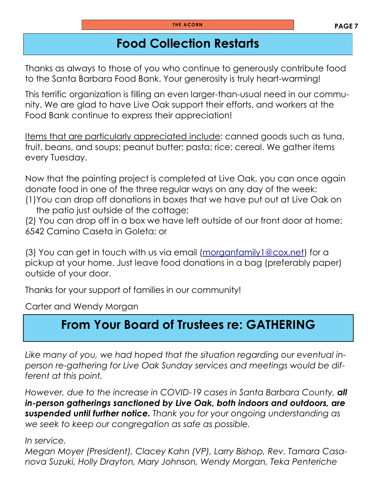# **Food Collection Restarts**

Thanks as always to those of you who continue to generously contribute food to the Santa Barbara Food Bank. Your generosity is truly heart-warming!

This terrific organization is filling an even larger-than-usual need in our community. We are glad to have Live Oak support their efforts, and workers at the Food Bank continue to express their appreciation!

Items that are particularly appreciated include: canned goods such as tuna, fruit, beans, and soups; peanut butter; pasta; rice; cereal. We gather items every Tuesday.

Now that the painting project is completed at Live Oak, you can once again donate food in one of the three regular ways on any day of the week: (1)You can drop off donations in boxes that we have put out at Live Oak on

the patio just outside of the cottage;

(2) You can drop off in a box we have left outside of our front door at home: 6542 Camino Caseta in Goleta; or

(3) You can get in touch with us via email ([morganfamily1@cox.net\)](mailto:morganfamily1@cox.net) for a pickup at your home. Just leave food donations in a bag (preferably paper) outside of your door.

Thanks for your support of families in our community!

Carter and Wendy Morgan

# **From Your Board of Trustees re: GATHERING**

*Like many of you, we had hoped that the situation regarding our eventual inperson re-gathering for Live Oak Sunday services and meetings would be different at this point.*

*However, due to the increase in COVID-19 cases in Santa Barbara County, all in-person gatherings sanctioned by Live Oak, both indoors and outdoors, are suspended until further notice. Thank you for your ongoing understanding as we seek to keep our congregation as safe as possible.*

*In service,*

*Megan Moyer (President), Clacey Kahn (VP), Larry Bishop, Rev. Tamara Casanova Suzuki, Holly Drayton, Mary Johnson, Wendy Morgan, Teka Penteriche*